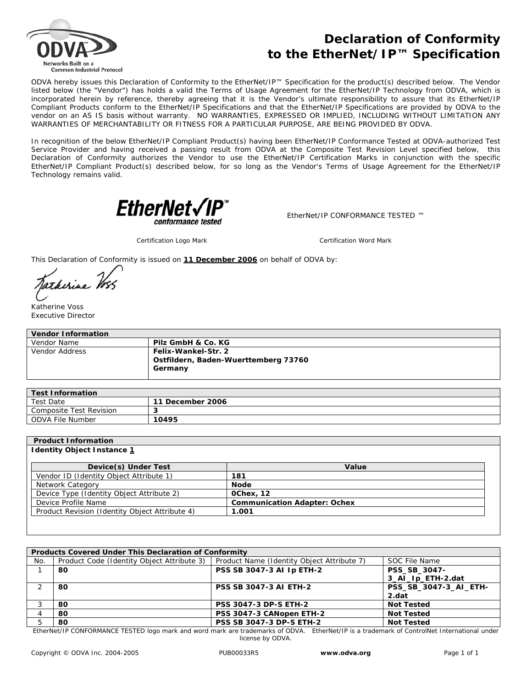

## **Declaration of Conformity to the EtherNet/IP™ Specification**

ODVA hereby issues this Declaration of Conformity to the EtherNet/IP™ Specification for the product(s) described below. The Vendor listed below (the "Vendor") has holds a valid the Terms of Usage Agreement for the EtherNet/IP Technology from ODVA, which is incorporated herein by reference, thereby agreeing that it is the Vendor's ultimate responsibility to assure that its EtherNet/IP Compliant Products conform to the EtherNet/IP Specifications and that the EtherNet/IP Specifications are provided by ODVA to the vendor on an AS IS basis without warranty. NO WARRANTIES, EXPRESSED OR IMPLIED, INCLUDING WITHOUT LIMITATION ANY WARRANTIES OF MERCHANTABILITY OR FITNESS FOR A PARTICULAR PURPOSE, ARE BEING PROVIDED BY ODVA.

In recognition of the below EtherNet/IP Compliant Product(s) having been EtherNet/IP Conformance Tested at ODVA-authorized Test Service Provider and having received a passing result from ODVA at the Composite Test Revision Level specified below, this Declaration of Conformity authorizes the Vendor to use the EtherNet/IP Certification Marks in conjunction with the specific EtherNet/IP Compliant Product(s) described below, for so long as the Vendor's Terms of Usage Agreement for the EtherNet/IP Technology remains valid.



EtherNet/IP CONFORMANCE TESTED ™

*Certification Logo Mark Certification Word Mark*

This Declaration of Conformity is issued on **11 December 2006** on behalf of ODVA by:

atherine 16.

Katherine Voss Executive Director

| <b>Vendor Information</b> |                                                                        |  |  |  |
|---------------------------|------------------------------------------------------------------------|--|--|--|
| Vendor Name               | Pilz GmbH & Co. KG                                                     |  |  |  |
| Vendor Address            | Felix-Wankel-Str. 2<br>Ostfildern, Baden-Wuerttemberg 73760<br>Germany |  |  |  |

| <b>Test Information</b> |                        |  |  |
|-------------------------|------------------------|--|--|
| Test Date               | * December 2006<br>-11 |  |  |
| Composite Test Revision |                        |  |  |
| ODVA File Number        | 10495                  |  |  |

## **Product Information**

## **Identity Object Instance 1**

| Device(s) Under Test                           | Value                               |  |
|------------------------------------------------|-------------------------------------|--|
| Vendor ID (Identity Object Attribute 1)        | 181                                 |  |
| Network Category                               | <b>Node</b>                         |  |
| Device Type (Identity Object Attribute 2)      | <b>OChex. 12</b>                    |  |
| Device Profile Name                            | <b>Communication Adapter: Ochex</b> |  |
| Product Revision (Identity Object Attribute 4) | 1.001                               |  |

| <b>Products Covered Under This Declaration of Conformity</b> |                                            |                                            |                       |  |  |  |
|--------------------------------------------------------------|--------------------------------------------|--------------------------------------------|-----------------------|--|--|--|
| No.                                                          | Product Code (Identity Object Attribute 3) | Product Name (Identity Object Attribute 7) | SOC File Name         |  |  |  |
|                                                              | 80                                         | <b>PSS SB 3047-3 AI Ip ETH-2</b>           | PSS_SB_3047-          |  |  |  |
|                                                              |                                            |                                            | 3 Al Ip ETH-2.dat     |  |  |  |
|                                                              | 80                                         | <b>PSS SB 3047-3 AI ETH-2</b>              | PSS_SB_3047-3_AI_ETH- |  |  |  |
|                                                              |                                            |                                            | 2.dat                 |  |  |  |
|                                                              | 80                                         | <b>PSS 3047-3 DP-S ETH-2</b>               | <b>Not Tested</b>     |  |  |  |
|                                                              | 80                                         | PSS 3047-3 CANopen ETH-2                   | <b>Not Tested</b>     |  |  |  |
|                                                              | 80                                         | <b>PSS SB 3047-3 DP-S ETH-2</b>            | <b>Not Tested</b>     |  |  |  |

EtherNet/IP CONFORMANCE TESTED logo mark and word mark are trademarks of ODVA. EtherNet/IP is a trademark of ControlNet International under license by ODVA.